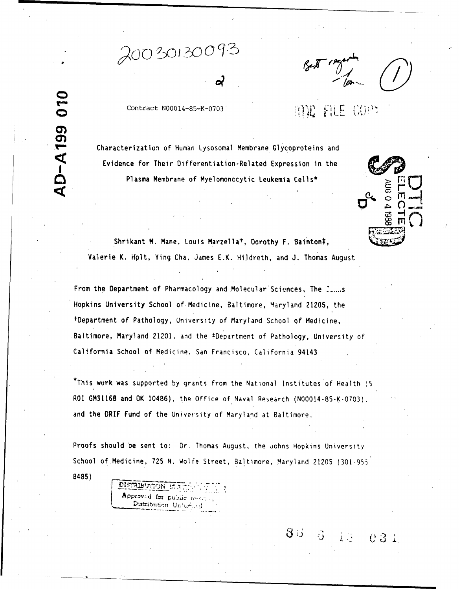20030130093

010

**AD-A199** 

# Contract N00014-85-K-0703  $\text{RLE}$   $\text{Cov}$

Characterization of Human Lysosomal Membrane Glycoproteins and Evidence for Their Differentiation-Related Exptession in the Plasma Membrane of Myelomonocytic Leukemia Cells\*



Shrikant M. Mane, Louis Marzella<sup>t</sup>, Dorothy F. Bainton#, Valerie K. Holt, Ying Cha, James E.K. Hildreth, and J. Thomas August

From the Department of Pharmacology and Molecular'Sciences, The **-**.... s Hopkins University School of Medicine, Baltimore, Maryland 21205, the tOepartment of Pathology, University of Maryland School of Medicine, Baltimore, Maryland 21201, and the ‡Department of Pathology, University of California School of Medicine, San Francisco, California 94143

This work was supported by grants from the National Institutes of Health **(5** ROI GM31168 and OK 10486), the Office of Naval Research (NO0014-85-K-0703). and the DRIF Fund of the University of Maryland at Baltimore.

Proofs should be sent to: Dr. Thomas August, the uchns Hopkins University School of Medicine, 725 N. Wolfe Street, Baltimore, Maryland 21205 (301-955) 8485)

 $8<sub>o</sub>$ 

 $\mathcal{L}_{\mathcal{A}}$ 

主意

0 3 i

DISTRIBUTION STATES TO BE APPROVED **for the STATES of the STATES SECTION** 

Distribution Unturined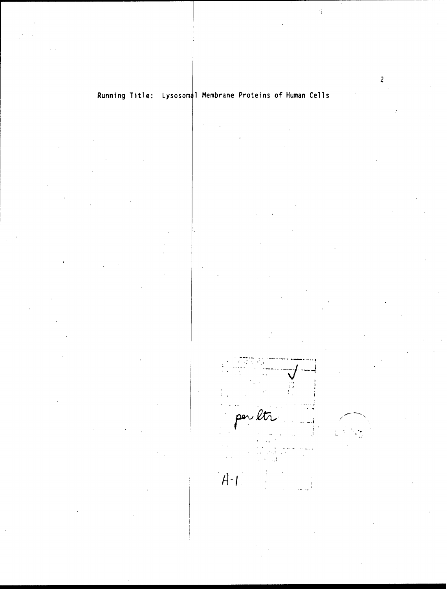# Running Title: Lysosom **1** Membrane Proteins of Human Cells

T.

per lt - -

 $A - I$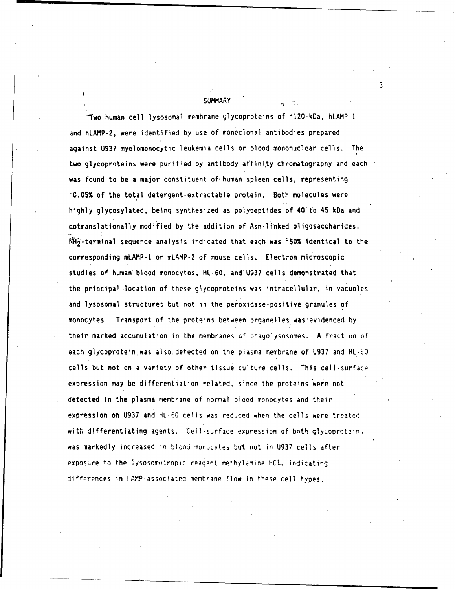**SUMMARY** 

'-Two human cell lysosomal membrane glycoproteins of '120-kDa, hLAMP-1 and hLAMP-2, were identified by use of monoclonal antibodies prepared against **U937** myelomonocytic leukemia cells or blood mononuclear cells. The two glycoproteins were purified by antibody affinity chromatography and, each was found to be a major constituent of human spleen cells, representing' **-0.05%** of the total detergent-extrictable protein. Both molecules were highly glycosylated, being synthesized as polypeptides of 40'to 45 **kDA** and cotranslationally modified by the addition of Asn-linked oligosaccharides. NH<sub>2</sub>-terminal sequence analysis indicated that each was <sup>2</sup>50% identical to the corresponding mLAMP-1 or mLAMP-2 of mouse cells. Electron microscopic studies of human blood monocytes, HL-60, and'U937 cells demonstrated that the principal location of these glycoproteins was intracellular, in vacuoles and lysosomal structures but not in the peroxidase-positive granules of monocytes. Transport of the proteins between organelles was-evidenced by their marked accumulation in the membranes of phagolysosomes. A fraction of each glycoprotein was also detected on the plasma membrane of **U937** and HL-60 cells but not on a variety of other tissue culture cells. This cell-surface expression may be differentiation-related, since the proteins were not detected in the plasma membrane of normal blood monocytes and their expression on **U937** and HL-60 cells was reduced when the cells were treated with differentiating agents. Cell-surface expression of both glycoproteins was markedly increased in blood monocytes but not in U937 cells after exposure to'the lysosomotropfc reagent methylamine HCL. indicating differences in LAMP-associated membrane flow in these cell types.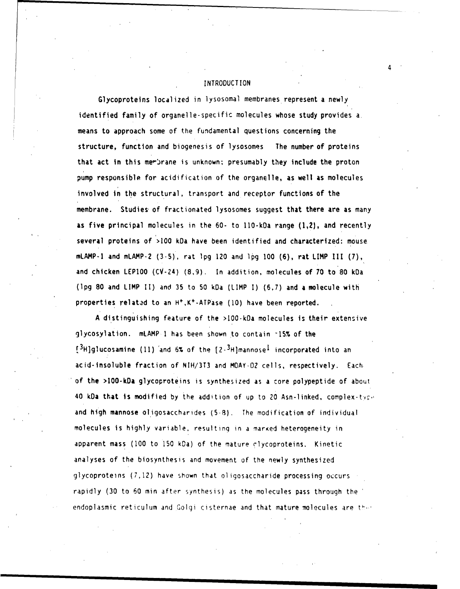#### INTRODUCTION

Glycoproteins localized in lysosomal membranes represent a newly identified family of organelle-specific molecules whose study provides a, means to approach some of the fundamental questions concerning the structure, function and biogenesis of lysosomes The number of proteins that act in this membrane is unknown; presumably they include the proton pump responsible for acidification of the organelle, as well as molecules involved in the structural, transport and receptor functions of the membrane. Studies of fractionated lysosomes suggest that there are as many as five principal molecules in the 60- to 110-kDa range (1,2), and recently several proteins of **>100** kOa have been identified and characterized: mouse mLAMP-! and mLAMP-2 (3-5), rat **lpg** 120 and **lpg 100** (6), rat LIMP I11 (7), and chicken LEPIO0 (CV-24) (8,9). In addition, molecules of **70** to 80 kOa (lpg 80 and LIMP **I1)** and 35 to 50 kDa (LIMP I) (6,7) and a molecule with properties related to an H÷,K+-ATPase (10) have been reported.

A distinguishing feature of the >100-kfa molecules is their extensive glycosylation. mLAMP **I** has been shown to contain -15% of the [ 3H]glucosamine **(11)** 'and **6%** of the [2- <sup>3</sup>H]mannoseI incorporated into an acid-insoluble fraction of NIH/3T3 and MOAY-02 cells, respectively. Each. of the >100-kDa glycoproteins is synthesized as a core polypeptide of about 40 kDa that is modified by the addition of up to 20 Asn-linked, complex-type and high mannose oligosaccharides (5-8). The modification of individual molecules is highly variable, resulting in a marked heterogeneity in apparent mass (100 to 150 kDa) of the mature clycoproteins. Kinetic analyses of the biosynthesis and movement of the newly synthesized glycoproteins (7,12) have shown that ol igosaccharide processing occurs rapidly (30 to 60 min after synthesis) as the molecules pass through the endoplasmic reticulum and Golgi cisternae and that mature molecules are there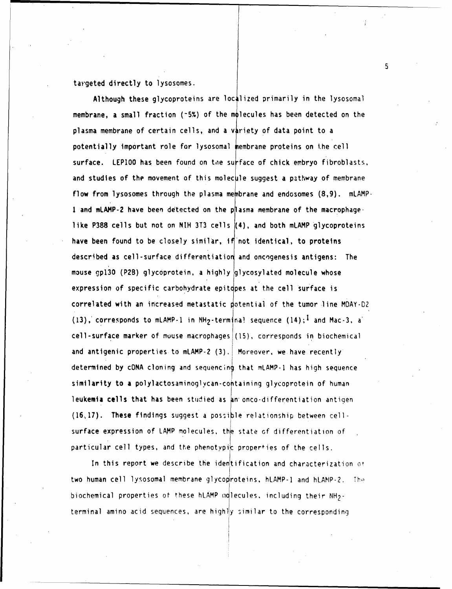targeted directly to lysosomes.

Although these glycoproteins are localized primarily in the lysosomal membrane, a small fraction  $(5%)$  of the molecules has been detected on the plasma membrane of certain cells, and a variety of data point to a potentially important role for lysosomal membrane proteins on the cell surface. LEP100 has been found on the surface of chick embryo fibroblasts, and studies of the movement of this molecule suggest a pathway of membrane flow from lysosomes through the plasma membrane and endosomes  $(8,9)$ . mLAMP-1 and mLAMP-2 have been detected on the plasma membrane of the macrophagelike P388 cells but not on NIH 3T3 cells (4), and both mLAMP glycoproteins have been found to be closely similar, if not identical, to proteins described as cell-surface differentiation and oncogenesis antigens: The mouse gp130 (P2B) glycoprotein, a highly glycosylated molecule whose expression of specific carbohydrate epit dpes at the cell surface is correlated with an increased metastatic dotential of the tumor line MDAY-D2 (13), corresponds to mLAMP-1 in  $NH_2$ -terminal sequence (14);<sup>1</sup> and Mac-3, a cell-surface marker of muuse macrophages (15), corresponds in biochemical and antigenic properties to mLAMP-2 (3). Moreover, we have recently determined by cDNA cloning and sequencing that mLAMP-1 has high sequence similarity to a polylactosaminoglycan-containing glycoprotein of human leukemia cells that has been studied as an onco-differentiation antigen  $(16,17)$ . These findings suggest a possible relationship between cellsurface expression of LAMP molecules, the state of differentiation of particular cell types, and the phenotypic properties of the cells.

In this report we describe the identification and characterization of two human cell lysosomal membrane glycoproteins, hLAMP-1 and hLAMP-2. The biochemical properties of these hLAMP adlecules, including their NH2terminal amino acid sequences, are highly similar to the corresponding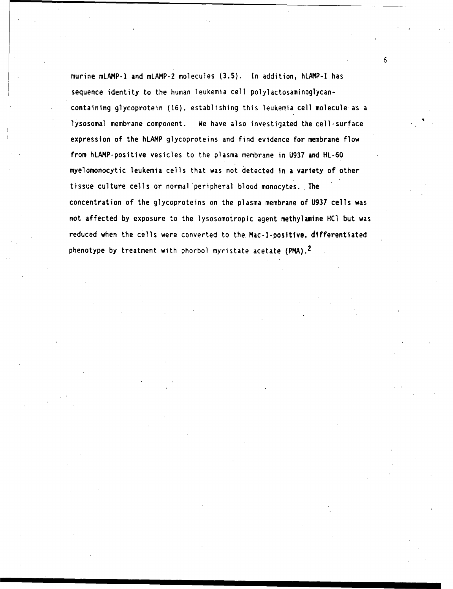murine mLAMP-I and mLAMP-2 molecules (3,5). In addition, hLAMP-1 has sequence identity to the human leukemia cell polylactosaminoglycancontaining glycoprotein (16), establishing this leukemia cell molecule as a lysosomal membrane component. We have also investigated the cell-surface expression of the hLAMP glycoproteins and find evidence for membrane flow from hLAMP-positive vesicles to the plasma membrane in **U937** and HL-60 myelomonocytic leukemia cells that was not detected in a variety of other tissue culture cells or normal peripheral blood monocytes.. The concentration of the glycoproteins on the plasma membrane of **U937** cells was not affected by exposure to the lysosomotropic agent methylamine HCI but was reduced when the cells were converted to the. Mac-I-positive, differentiated phenotype by treatment with phorbol myristate acetate (PMA). <sup>2</sup>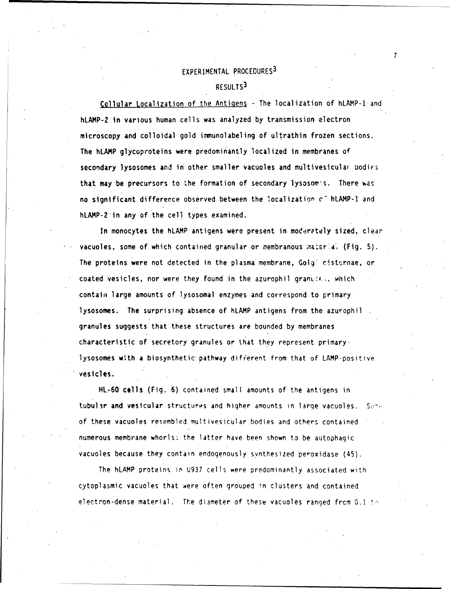## EXPERIMENTAL PROCEDURES <sup>3</sup> RESULTS <sup>3</sup>

Cellular Localization of the Antigens - The localization of hLAMP-1 and hLAMP-2 in various human cells was analyzed by transmission electron microscopy and colloidal gold immunolabeling of ultrathin frozen sections. The hLAMP glycoproteins were predominantly localized in membranes of secondary lysosomes and in other smaller vacuoles and multivesicular bodies that may be precursors to the formation of secondary lysosomss. There was no significant difference observed between the localization c<sup>-</sup> hLAMP-1 and hLAMP-2'in any of the cell types examined.

In monocytes the hLAMP antigens were present in moderetely sized, clear vacuoles, some of which contained granular or membranous materia. (Fig. 5). The proteins were not detected in the plasma membrane, Golgi cisternae, or coated vesicles, nor were they found in the azurophil grantss, which contain large amounts of lysosomal enzymes and correspond to primary lysosomes. The surprising absence of hLAMP antigens from the azurophil granules suggests that'these structures are bounded by membranes characteristic of secretory granules or that they represent primary, lysosomes with a biosynthetic pathway different from that of LAMP-positive vesicles.

HL-60 cells (Fig. 6) contained small amounts of the antigens in tubular and vesicular structures and higher amounts in large vacuoles. Some of these vacuoles resembled multivesicular bodies and others contained numerous membrane whorls; the latter have been shown to be autophagic vacuoles because they contain endogenously synthesized peroxidase (45).

The hLAMP proteins in U937 cells were predominantly associated with cytoplasmic vacuoles that were often grouped in clusters and contained electron-dense material. The diameter of these vacuoles ranged frcm **3.1** •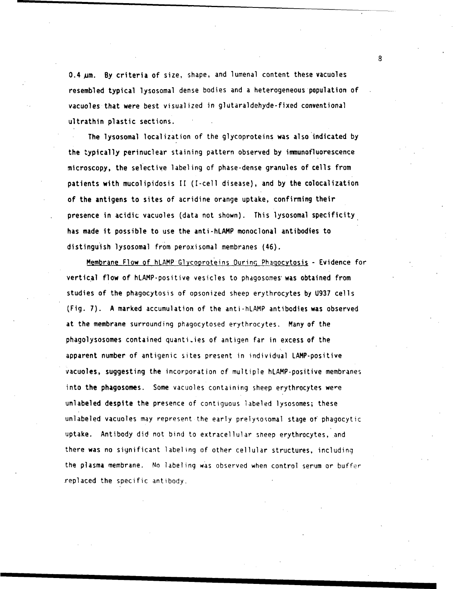0.4 um. By criteria of size, shape, and lumenal content these vacuoles resembled typical lysosomal dense bodies and a heterogeneous population of vacuoles that were best visualized in glutaraldehyde-fixed conventional ultrathin plastic sections.

The lysosomal localization of the glycoproteins was also indicated by the typically perinuclear staining pattern observed by immunofluorescence microscopy, the selective labeling of phase-dense granules of cells from patients with mucolipidosis II (I-cell disease), and by the colocalization of the antigens to sites of acridine orange uptake, confirming their presence in acidic vacuoles (data not shown). This lysosomal specificity has made it possible to use the anti-hLAMP monoclonal antibodies to distinguish lysosomal from peroxisomal membranes (46).

Membrane Flow of hLAMP Glycoproteins During Phagocytosis - Evidence for vertical flow of hLAMP-positive vesicles to phagosomes was obtained from studies of the phagocytosis of opsonized sheep erythrocytes by U937 cells (Fig. 7). A marked accumulation of the anti-hLAMP antibodies was observed at the membrane surrounding phagocytosed erythrocytes. Many of the phagolysosomes contained quanti.ies of antigen far in excess of the apparent number of antigenic sites present in individual LAMP-positive vacuoles, suggesting the incorporation **of** multiple hLAMP-positive membranes into the phagosomes. Some vacuoles containing sheep erythrocytes were unlabeled despite the presence of contiguous labeled lysosomes; these unlabeled vacuoles may represent the early prelysosomal stage of phagocytic uptake. Antibody did not bind to extracellular sheep erythrocytes, and there was no significant labeling of other cellular structures, including the plasma membrane. No labeling was observed when control serum or buffer replaced the specific antibody.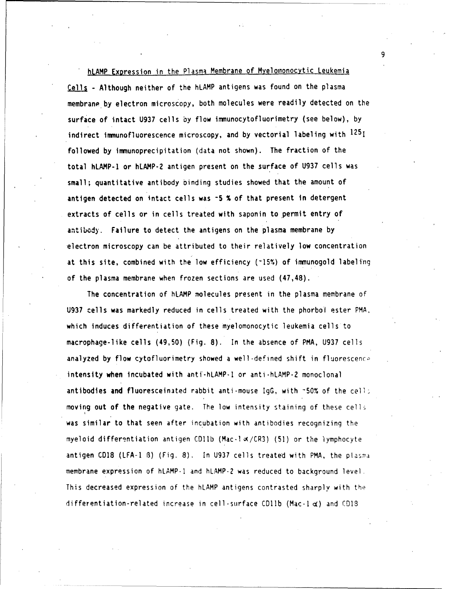hLAMP Expression in the Plasma Membrane of Myelomonocytic Leukemia Cells - Although neither of the hLAMP antigens was found on the plasma membrane,by electron microscopy, both molecules were readily detected on the surface of intact **U937** cells by flow immunocytofluorimetry (see below), by indirect immunofluorescence microscopy, and by vectorial labeling with <sup>125</sup>I followed by immunoprecipitation (data not shown). The fraction of the total hLAMP-1 or hLAMP-2 antigen present on the surface of U937 cells was small; quantitative antibody binding studies showed that the amount of antigen detected on intact cells was -5 % of that present in detergent extracts of cells or in cells treated with saponin to permit entry of antibody. Failure to detect the antigens on the plasma membrane by electron microscopy can be attributed to their relatively low concentration at this site, combined with the low efficiency (-15%) of immunogold labeling of the plasma membrane when frozen sections are used (47,48).

The concentration of hLAMP molecules present in the plasma membrane of U937 cells was markedly reduced in cells treated with the phorbol ester PMA, which induces differentiation of these myelomonocytic leukemia cells to macrophage-like cells (49,50) (Fig. 8). In the absence of PMA, **U937** cells analyzed by flow cytofluorimetry showed a well-defined shift in fluorescenc• intensity when incubated with anti-hLAMP-1 or anti-hLAMP-2 monoclonal antibodies and fluoresceinated rabbit anti-mouse IgG, with -50% of the cell; moving out of the negative gate. The low intensity staining of these cells was similar to that seen after incubation with antibodies recognizing the myeloid differentiation antigen **CD11b** (Mac-lc/CR3) (51) or the lymphocyte antigen CD18 (LFA-1  $B$ ) (Fig.  $B$ ). In U937 cells treated with PMA, the plasma membrane expression of hLAMP-1 and hLAMP-2 was reduced to background level. This decreased expression of the hLAMP antigens contrasted sharply with the differentiation-related increase in cell-surface CD11b (Mac-1  $\alpha$ ) and CD18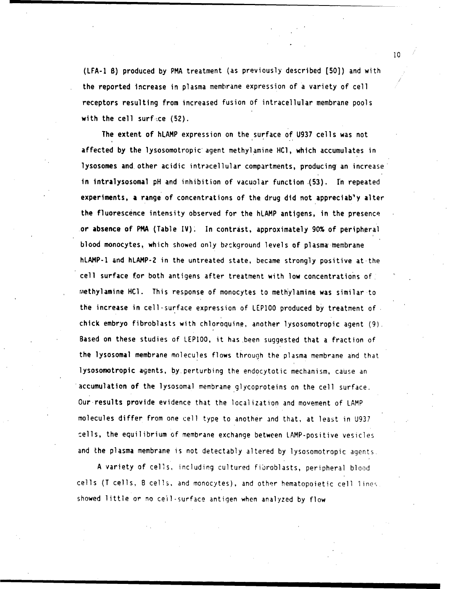(LFA-1 B) produced by PMA treatment (as previously described [50]) and with the reported Increase in plasma membrane expression of a variety of cell receptors resulting from increased fusion of intracellular membrane pools with the cell surface  $(52)$ .

The extent of hLAMP expression on the surface of **U937** cells was not affected by the lysosomotropic'agent methyl amine HCl, which accumulates in lysosomes and. other acidic intracellular compartments, producing an increase in Intralysosomal pH and inhibition of vacuolar function .(53). fn repeated experiments, a range of concentrations of the drug did not appreciab'y alter the fluorescence intensity observed for the hLAMP antigens, in the presence or absence of PMA (Table IV). In contrast, approximately 90% of peripheral blood monocytes, which showed only background levels of plasma membrane hLAMP-1 and hLAMP-2 in the untreated state, became strongly positive at the cell surface for both antigens after treatment with low concentrations of. rmethylamine HCl. This response of monocytes to methylamine was similar to the increase in cell-surface expression of LEP100 produced by treatment of. chick embryo fibroblasts with chloroquine, another lysosomotropic agent (g). Based on these studies of LEPIO0, it has been suggested that a fraction of the lysosomal membrane molecules flows through the plasma membrane and that lysosomotropic agents, by perturbing the endocytotic mechanism, cause an accumulation of the lysosomal membrane glycoproteins on the cell surface. Our-results provide evidence that the localization and movement of LAMP molecules differ from one cell type to another and that, at least in U937 cells, the equilibrium of membrane exchange between LAMP-positive vesicles and the plasma membrane is not detectably altered by lysosomotropic agents.

A variety of cells, including cultured fibroblasts, peripheral blood cells (T cells, B cells, and monocytes), and other hematopoietic cell lines. showed little or no cell-surface antigen when analyzed by flow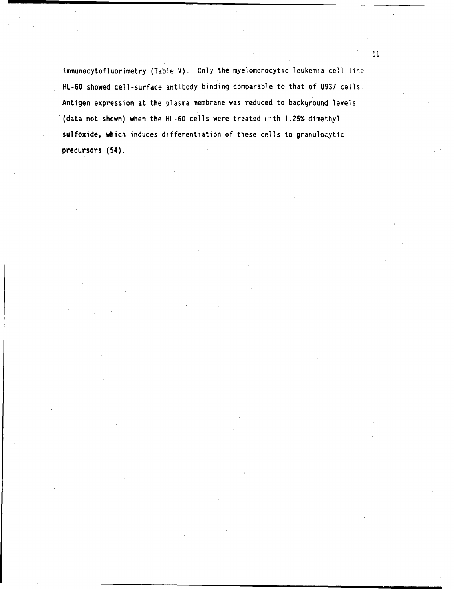immunocytofluorimetry (Table V). Only the myelomonocytic leukemia cell line HL-60 showed cell-surface antibody binding comparable to that of **U937** cells. Antigen expression at the plasma membrane was reduced to backyround levels (data not shown) when the HL-60 cells were treated vith 1.25% dimethyl sulfoxide, 'which induces differentiation of these cells to granulocytic precursors (54).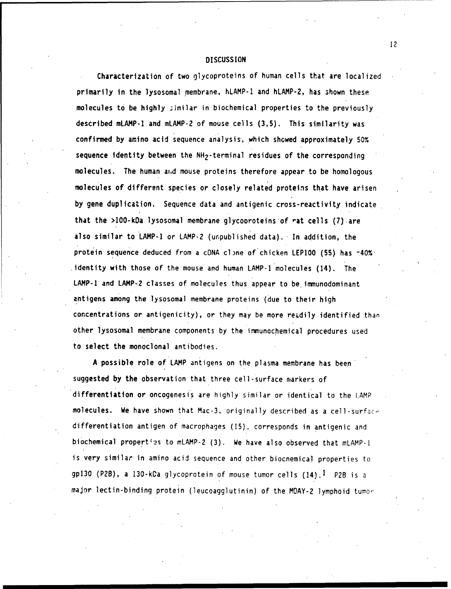#### **DISCUSSION**

Characterization of two glycoproteins of human cells that are localized primarily in the lysosomal membrane, hLAMP-1 and hLAMP-2, has shown these molecules to be highly ;imilar in biochemical properties to the previously described mLAMP-I and mLAMP-2 of mouse cells (3,5). This similarity was confirmed by amino acid sequence analysis, which showed approximately 50% sequence identity between the NH<sub>2</sub>-terminal residues of the corresponding molecules. The human ai.d mouse proteins therefore appear to be homologous molecules of different species or closely related proteins that have arisen by gene duplication. Sequence data and antigenic cross-reactivity indicate that the  $>100$ -kDa lysosomal membrane glycooroteins of rat cells (7) are also similar to LAMP-1 or LAMP-2 (unpublished data). In addition, the protein sequence deduced from a cDNA clone of chicken LEP100 (55) has -40%' identity with those of the mouse and human LAMP-I molecules (14). The LAMP-! and LAMP-2 classes of molecules thus appear to be, immunodominant antigens among the lysosomal membrane proteins (due to their high concentrations or antigenicity), or they may be more readily identified than other lysosomal membrane components by the immunochemical procedures used to select the monoclonal antibodies.

A possible role of LAMP antigens on the plasma membrane has been suggested by the observation that three cell-surface markers of differentiation or oncogenesis are highly similar or identical to the LAMP molecules. We have shown that Mac-3, originally described as a cell-surface differentiation antigen of macrophages (15), corresponds in antigenic and biochemical propert'2s to mLAMP-2 (3). We have also observed that mLAMP-1 is very similar in amino acid sequence and other biocnemical. properties to gp130 (P2B), a 130-kDa glycoprotein of mouse tumor cells  $(14)$ .  $\frac{1}{1}$  P2B is a major lectin-binding protein (leucoagglutinin) of the MDAY-2 lymphoid tumo-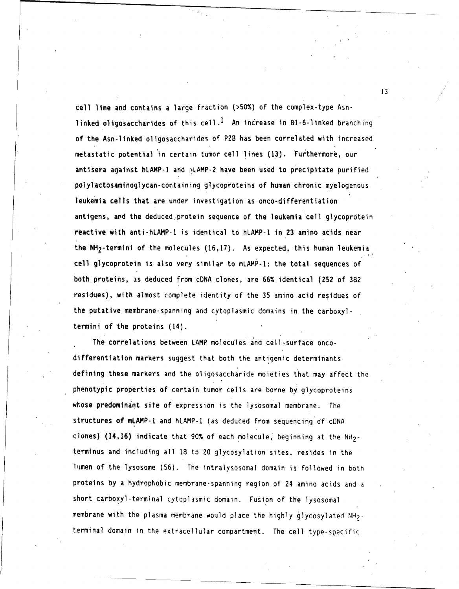cell line and contains a large fraction (>50%) of the complex-type Asnlinked oligosaccharides of this cell.<sup>1</sup> An increase in B1-6-linked branching of the Asn-linked oligosaccharides of P2B has been correlated with increased metastatic potential in certain tumor cell lines (13). Furthermore, our antisera against hLAMP-1 and MLAMP-2 have been used to precipitate purified polylactosaminoglycan-containing glycoproteins of human chronic myelogenous leukemia cells that are under investigation as onco-differentiation antigens, and the deduced.protein sequence of the leukemia cell glycoprotein reactive with anti-hLAMP-1 is identical to hLAMP-I in 23 amino acids near the NH2 -termini of the molecules (16,17). As expected, this human leukemia cell glycoprotein is also very similar to mLAMP-1: the total sequences of both proteins, as deduced from cDNA clones, are 66% identical (252 of 382 residues), with almost complete identity of the 35 amino acid residues of the putative membrane-spanning and cytoplasmic domains in the carboxyltermini of the proteins (14).

The correlations between LAMP molecules and cell-surface oncodifferentiation markers suggest that both the antigenic determinants defining these markers and the oligosaccharide moieties that may affect the phenotypic properties of certain tumor cells are borne by glycoproteins whose predominant site of expression is the lysosomal membrane. The structures of mLAMP-1 and hLAMP-I (as deduced from sequencing of cDNA clones) (14,16) indicate that  $90\%$  of each molecule, beginning at the NH<sub>2</sub>terminus and including all 18 to 20 glycosylation sites, resides in the lumen of the lysosome (56). The intralysosomal domain is followed in both proteins by a hydrophobic membrane-spanning region of 24 amino acids and a short carboxyl-terminal cytoplasmic domain. Fusion of the lysosomal membrane with the plasma membrane would place the highly glycosylated NH<sub>2</sub> terminal domain in the extracellular compartment. The cell type-specific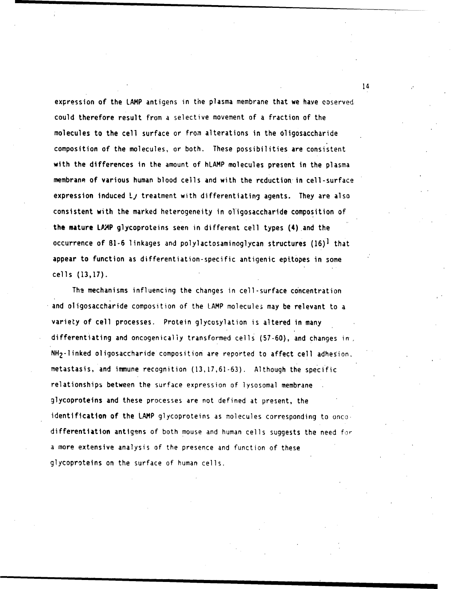expression of the LAMP antigens in the plasma membrane that we have coserved: could therefore result from a selective movement of a fraction of the molecules to the cell surface or from alterations in the Oligosaccharide composition of the molecules, or both. These possibilities are consistent with the differences in the amount of hLAMP molecules present in the plasma membrane of various human blood cells and with the reduction, in cell-surface expression induced Lj treatment with differentiating agents. They are also consistent with the marked heterogeneity in ol'igosaccharide composition of the mature LAMP glycoproteins seen in different cell types (4) and the occurrence of 81-6 linkages and polylactosaminoglycan structures  $(16)^1$  that appear to function as differentiation-specific antigenic epitopes in some cells (13,17).

The mechanisms influencing the changes in cell-surface concentration and oligosaccharide composition of the LAMP molecules may be relevant to a variety of cell processes. Protein glycosylation is altered in many differentiating and oncogenically transformed cells (57-60), and changes in, NH2 -linked oligosaccharide composition are reported to affect cell adhesion, metastasis, and immune recognition (13,17,61-63). Although the specific relationships between the surface expression of lysosomal membrane glycoproteins and these processes are not defined at present, the identification of the LAMP glycoproteins as molecules corresponding to oncodifferentiation antigens of both mouse and human cells suggests the need for a more extensive analysis of the presence and function of these glycoproteins on the surface of human cells.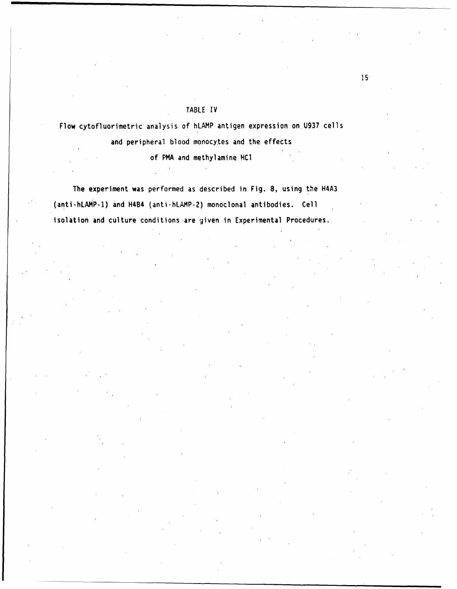## TABLE IV

Flow cytofluorimetric analysis of hLAMP antigen expression on U937 cells and peripheral blood monocytes and the effects

of PMA and methylamine **HCl**

The experiment was performed as described in Fig. 8, using the H4A3 (anti-hLAMP-1) and H4B4 (anti-hLAMP-2) monoclonal antibodies. Cell isolation and culture conditions are given in Experimental Procedures.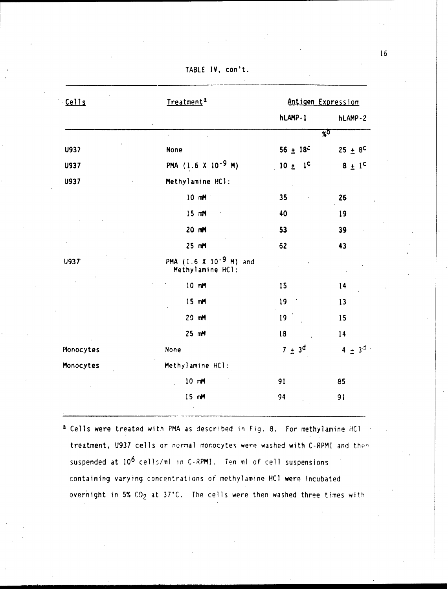| Cells       | Treatment <sup>a</sup>                                 | Antigen Expression  |                   |
|-------------|--------------------------------------------------------|---------------------|-------------------|
|             |                                                        | hLAMP-1             | hLAMP-2           |
|             |                                                        | $\overline{\chi}$   |                   |
| U937        | None                                                   | $56 \pm 18^{\circ}$ | $25 + 8^{\circ}$  |
| U937        | PMA $(1.6 \times 10^{-9} \text{ M})$                   | $10 + 1^C$          | $8 \pm 1^{\circ}$ |
| <b>U937</b> | Methylamine HCl:                                       |                     |                   |
|             | 10 mM                                                  | 35                  | 26                |
|             | 15 mM                                                  | 40                  | 19                |
|             | 20 mM                                                  | 53                  | 39                |
|             | 25 mM                                                  | 62                  | 43                |
| U937        | PMA (1.6 X 10 <sup>-9</sup> M) and<br>Methylamine HCl: |                     |                   |
|             | 10 mM                                                  | 15                  | 14                |
|             | 15 mM                                                  | 19                  | 13                |
|             | 20 mM                                                  | 19                  | 15                |
|             | 25 mM                                                  | 18                  | 14                |
| Monocytes   | None                                                   | $7 \pm 3^{\circ}$   | $4 \pm 3^{d}$     |
| Monocytes   | Methylamine HCl:                                       |                     |                   |
|             | 10 mM                                                  | 91                  | 85                |
|             | 15 mM                                                  | 94                  | 91                |

TABLE IV, con't.

a Cells were treated with PMA as described in Fig. 8. For methylamine **HCl** treatment, U937 cells or normal monocytes were washed with C-RPMI and then suspended at 10<sup>6</sup> cells/ml in C-RPMI. Ten ml of cell suspensions containing varying concentrations of methylamine **HCl** were incubated overnight in 5% CO<sub>2</sub> at 37°C. The cells were then washed three times with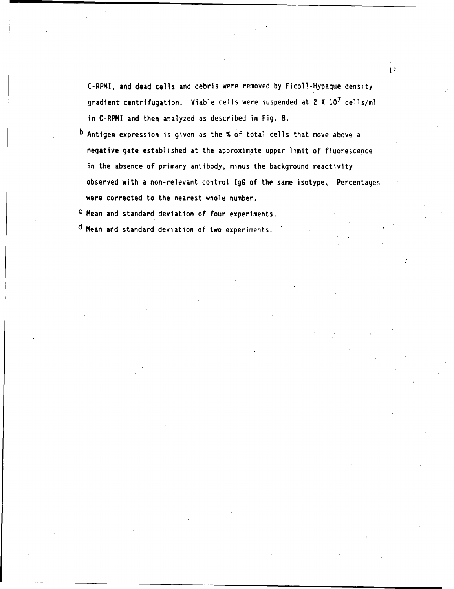C-RPMI, and dead cells and debris were removed by Ficoll-Hypaque density gradient centrifugation. Viable cells were suspended at 2 X **I07** cells/ml in C-RPMI and then analyzed as described in Fig. 8.

b Antigen expression is given as the % of total cells that move above a negative gate established at the approximate upper limit of fluorescence in the absence of primary antibody, minus the background reactivity observed with a non-relevant control IgG of the same isotype. Percentages were corrected to the nearest whole number.

c Mean and standard deviation of four experiments.

d Mean and standard deviation of two experiments.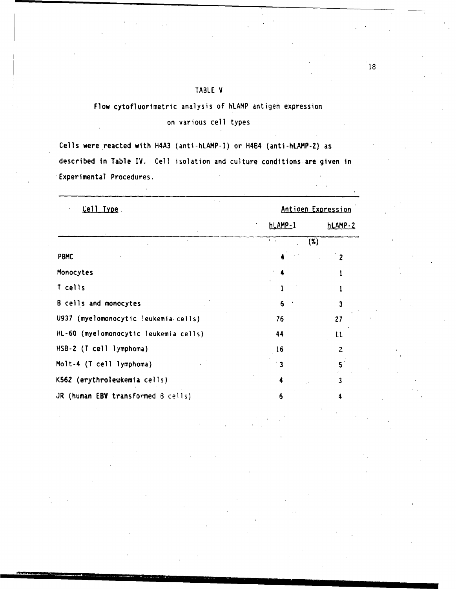## TABLE V

## Flow cytofluorimetric analysis of hLAMP antigen expression

## on various cell types

Cells were reacted with H4A3 (anti-hLAMP-1) or H4B4 (anti-hLAMP-2) as described In Table IV. Cell isolation and culture conditions are given in Experimental Procedures.

Cell Type, Anticen Expression hLAMP-1 hLAMP-2  $(\mathbf{x})$ PBMC 4 2 Monocytes 4 1 T cells **1 1** B cells and monocytes 6 3 **U937** (myelomonocytic leukemia cells) 76 27 HL-60 (myelomonocytic leukemia cells) 44 4 11. HSB-2 (T cell lymphoma) **16** 2 Molt-4 (T cell lymphoma) 3 K562 (erythroleukemia cells) 4 3 JR (human EBV transformed  $B$  cells)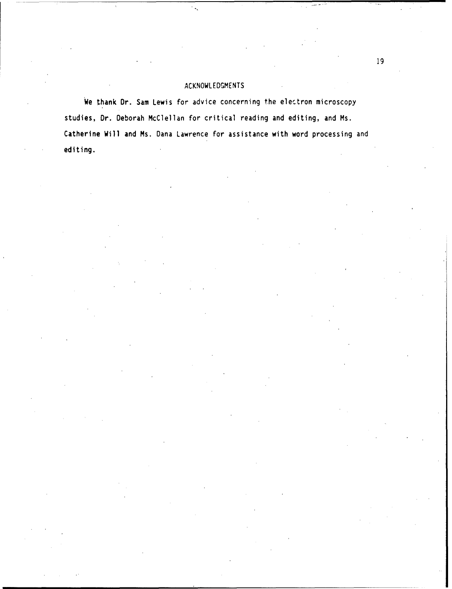## ACKNOWLEDGMENTS

 $\ddot{\phantom{a}}$ 

We thank Dr. Sam Lewis for advice concerning the electron microscopy studies, Dr. Deborah McClellan for critical reading and editing, and Ms. Catherine Will and Ms. Dana Lawrence for assistance with word processing and editing.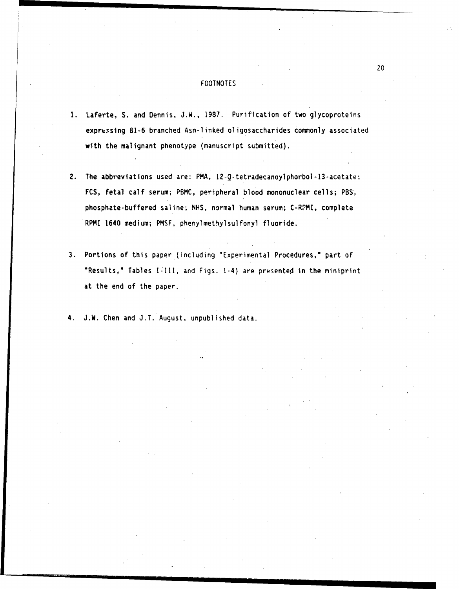#### FOOTNOTES

- 1. Laferte, S. and Dennis, J.W., 1937. Purification of two glycoproteins expressing B1-6 branched Asn-linked oligosaccharides commonly associated with the malignant phenotype (manuscript submitted).
- 2. The abbreviations used are: PMA, 12-Q-tetradecanoylphorbol-13-acetate; FCS, fetal calf serum; PBMC, peripheral blood mononuclear cells; PBS, phosphate-buffered saline; NHS, normal human serum; C-RPMI, complete RPMI 1640 medium; PMSF, phenylmethylsulfonyl fluoride.
- 3. Portions of this paper (including "Experimental Procedures,\* part of "Results," Tables **1-111,** and Figs. 1-4) are presented in the miniprint at the end of the paper.
- 4. J.W. Chen and J.T. August, unpublished data.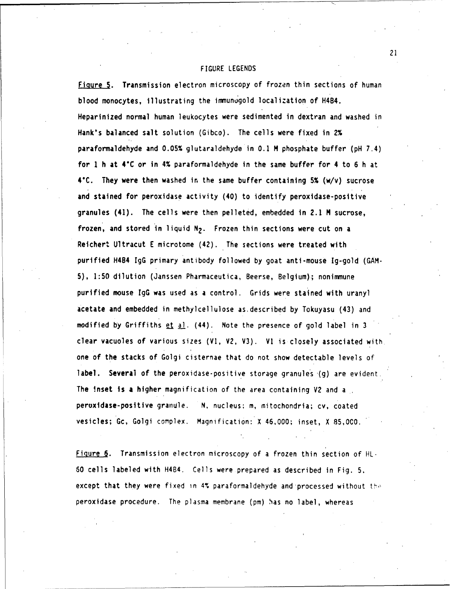#### FIGURE LEGENDS

Figure **5.** Transmission electron microscopy of frozen thin sections of human blood monocytes, illustrating the immunu gold localization of H4B4. Heparinized normal human leukocytes were sedimented in dextran and washed in Hank's balanced salt solution (Gibco). The cells were fixed in 2% paraformaldehyde and 0.05% glutaraldehyde in **0.1** M phosphate buffer (pH 7.4) for **I** h at 4C or in 4% paraformaldehyde in the same buffer for 4 to 6 h at 4C. They were then washed in the same buffer containing 5% (w/v) sucrose and stained for peroxidase activity (40) to identify peroxidase-positive granules (41). The cells were then pelleted, embedded in 2.1 M sucrose, frozen, and stored in liquid N<sub>2</sub>. Frozen thin sections were cut on a Reichert Ultracut E microtome (42). The sections were treated with purified H484 IgG primary antibody followed by goat anti-mouse Ig-gold (GAM-5), 1:50 dilution (Janssen Pharmaceutica, Beerse, Belgium); nonimmune purified mouse IgG was used as a control. Grids were stained with uranyl acetate and embedded in methylcellulose as described by Tokuyasu (43) and modified by Griffiths  $et$  al. (44). Note the presence of gold label in 3 clear vacuoles of various sizes (VI, V2, V3). VI is closely associated with. one of the stacks of Golgi cisternae that do not show detectable levels of label. Several of the peroxidase-positive storage granules (g) are evident. The inset is a higher magnification of the area containing V2 and a peruxidase-positive granule. N, nucleus; m, mitochondria; cv, coated vesicles; Gc, Golgi complex. Magnification: X 46,000; inset, X 85,000.

FiQure **6.** Transmission electron microscopy of a frozen thin section of HL-60 cells labeled with H4B4. Cells were prepared as described in Fig. 5. except that they were fixed in 4% paraformaldehyde and processed without the peroxidase procedure. The plasma membrane (pm) has no label, whereas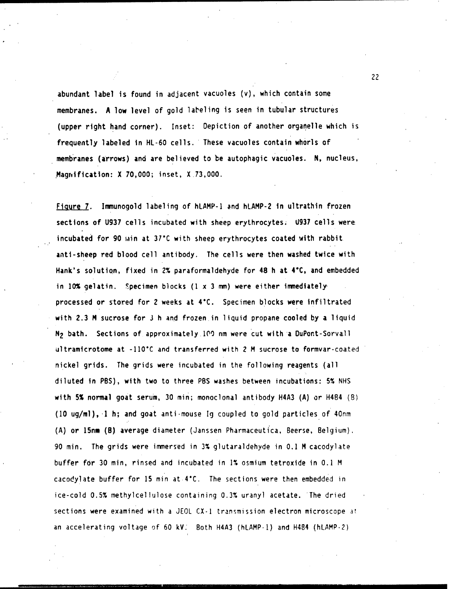abundant label is found in adjacent vacuoles (v), which contain some membranes. A low level of gold labeling is seen in tubular structures (upper right hand corner). Inset: Depiction of another organelle which is frequently labeled in HL-60 cells. These vacuoles contain whorls of membranes (arrows) and are believed to be autophagic vacuoles. N, nucleus, Magnification: X 70,000; inset, X.73,000.

Figure **7.** Imunogold labeling of hLAMP-1 and hLAMP-2 in ultrathin frozen sections of U937 cells incubated with sheep erythrocytes. U937 cells were. incubated for **90** miin at 37'C with sheep erythrocytes coated with rabbit anti-sheep red blood cell antibody. The cells were then washed twice with Hank's solution, fixed in 2% paraformaldehyde for 48 h at 4°C, and embedded in 10% gelatin. Specimen blocks  $(1 \times 3$  mm) were either immediatelyprocessed or stored for 2 weeks at 4C. Specimen blocks were infiltrated with 2.3 M sucrose for **J** h and frozen in liquid propane cooled by a liquid **N2** bath. Sections of approximately **100** nm were cut with a OuPont-Sorvall ultramicrotome at **-110C** and transferred with 2 M sucrose to formvar-coated nickel grids. The grids were incubated in the following reagents (all diluted in PBS), with two to three PBS washes between incubations: 5% NHS with 5% normal goat serum, 30 min; monoclonal antibody H4A3 (A) or H484 (8) **(10** ug/ml), **1** h; and goat anti-mouse Ig coupled to gold particles of 4Onm (A) or 15nm (B) average diameter (Janssen Pharmaceutica, Beerse, Belgium), 90 min. The grids were immersed in 3% glutaraldehyde in **0.1** M cacodylate buffer for 30 min, rinsed and incubated in **1%** osmium tetroxide in **0.1** M cacodylate buffer for 15 min at 4"C. The sections were then embedded in ice-cold 0.5% methylcellulose containing 0.3% uranyl acetate. 'The dried sections were examined with a JEOL CX-1 transmission electron microscope at an accelerating voltage of 60 kV.' Both H4A3 (hLAMP-1) and H484 (hLAMP-2)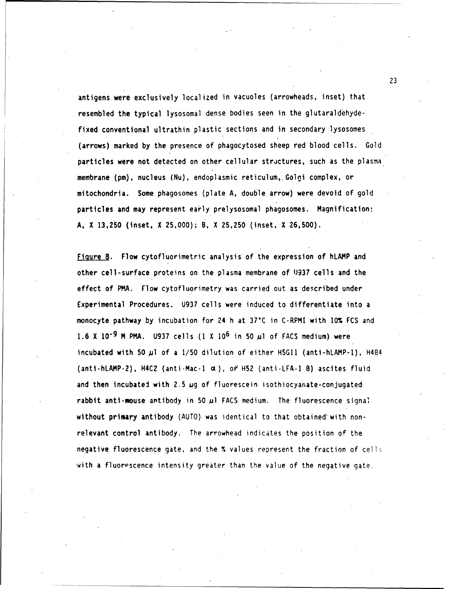antigens were exclusively localized in vacuoles (arrowheads, inset) that resembled the typical lysosomal dense bodies seen in the glutaraldehydefixed conventional ultrathin plastic sections and in secondary lysosomes (arrows) marked by the presence of phagocytosed sheep red blood cells. Gold particles were not detected on other cellular strictures, such as the plasma membrane (pm), nucleus (Nu), endoplasmic reticulum,,Golgi complex, or mitochondria. Some phagosomes (plate A, double arrow) were devoid of gold particles and may represent early prelysosomal phagosomes. Magnification: A, X 13,250 (inset, X 25,000); **8,** X 25,250 (inset, X 26,500).

Figure 8. Flow cytofluorimetric analysis' of the expression of hLAMP and other cell-surface proteins on the plasma membrane of **U937** cells and the effect of PMA. Flow cytofluorimetry was carried out as described under Experimental Procedures. **U937** cells were induced to differentiate into a monocyte pathway by incubation for 24 h at 37%C in C-RPMI with 10% FCS and 1.6 X **10-g** M PMA. **U937** cells **(I** X **106** in 50 Nl of FACS medium) were incubated with 50,ul of a 1/50 dilution of either **H5Gll** (anti-hLAMP-1), H4B4 (anti-hLAMP-2), H4C2 (anti-Mac-1  $\alpha$ ), or H52 (anti-LFA-1 B) ascites fluid and then incubated with 2.5 ug of fluorescein isothiocyanate-conjugated rabbit anti-mouse antibody in 50 ul FACS medium. The fluorescence signal without primary antibody (AUTO) was identical to that obtained' with nonrelevant control antibody. The arrowhead indicates the position of the negative fluorescence gate, and the % values represent the fraction of cells with a fluorescence intensity greater than the value of the negative gate.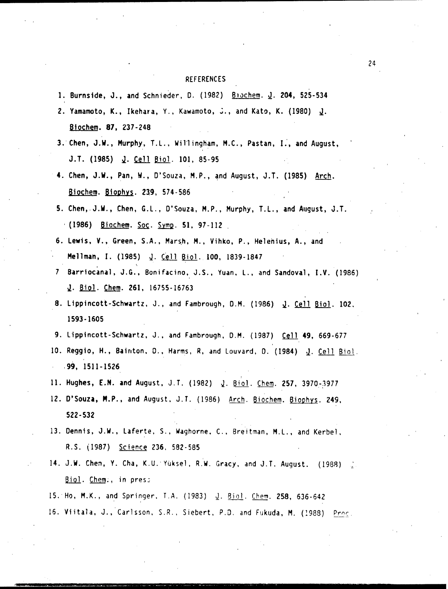#### REFERENCES

- **1.** Burnside, J., and Schnieder, 0. (1982) Biochem. **J.** 204, 525-534
- 2. Yamamoto, K., Ikehara, Y., Kawamoto, **.. ,** and Kato, K. (1980) **•.** Biochem. **87,** 237-248
- **3.'** Chen, J.W., Murphy, T.L., Wil'1ingham, M.C., Pastan, **I.,** and August, J.T. (1985) **1.** Cell Biol. **101,** 85-95
- 4. Chen, J.W., Pan, W., D'Souza, M.P., and August, J.T. (1985) Arch. Biochem. Bioohys. 239, 574-586
- 5. Chen,,J.W., Chen, G.L., D'Souza, M.P., Murphy, T.L., and August, J.T. . (1986) Biochem. Soc. Symp. 51, 97-112
- 6. Lewis, V., Green, S.A., Marsh, M., Vihko, P., Helehius, A., and Mellman, I. (1985) *J.* Cell Biol. 100, 1839-1847
- 7 Barriocanal, J.G., Bonifacino, J.S., Yuan, L., and Sandoval, I.V. (1986) **B.** Biol. Chem. 261, 16755-16763
- 8. Lippincott-Schwartz, J., and Fambrough, D.M. (1986) *J. Cell Biol.* 102, 1593-1605
- 9. Lippincott-Schwartz, J., and Fambrough, D.M. (1987) Cell 49, 669-677
- 10. Reggio, H., Bairton, **0.,** Harms, R, and Louvard, **0.** (1984) **•.** Cell Biol. .99, 1511-1526
- 11. Hughes, E.N. and August, J.T. (1982) J. Biol. Chem. 257, 3970-3977
- 12. D'Souza, M.P., and August, J.T. (1986) Arch. Biochem. Biophys. 249, 522-532
- 13. Dennis, J.W., Laferte, S., Waghorne. C.. Breitman, M.L., and Kerbel, R.S. (1987) Science 236, 582-585
- 14. J.W. Chen, Y. Cha, K.U.'Yuksel, R.W. Gracy, and J.T. August. (1988) Biol. Chem., in pres:
- 15. Ho, M.K., and Springer, T.A. (1983) J. 8iol. Chem. 258, 636-642
- 16. Viitala, J., Carlsson, S.R., Siebert, P.D. and Fukuda, M. (1988) Proc.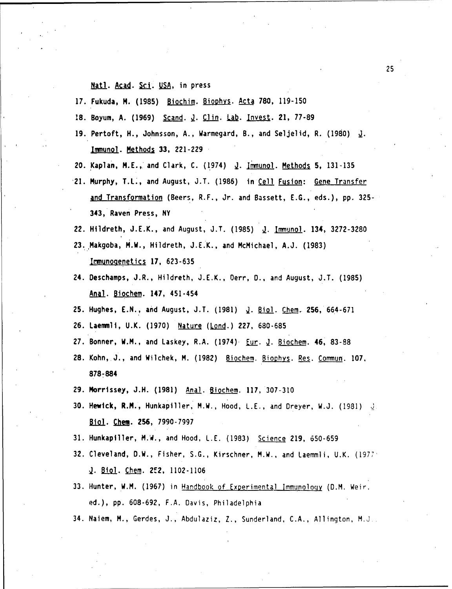#### Natl. Acad. Sci. **USA,** in press

17. Fukuda, M. (1985) Biochim. Biophys. Acta 780, 119-150

18. Boyum, A. (1969) Scand. **1.** Clin. Lat. Invest. 21, 77-89

- 19. Pertoft, H., Johnsson, A., Warmegard, B., and Seljelid, R. (1980) **1.** Immunol. Methods 33, 221-229
- 20. Kaplan, M.E., and Clark, C.  $(1974)$  *J.* Immunol. Methods 5, 131-135
- -21. Murphy, T.L., and August, J.T. (1986) in Cell Fusion: Gene Transfer and Transformation (Beers, R.F., Jr. and Bassett, E.G., eds.), pp. 325- 343, Raven Press, NY
- 22. Hildreth, J.E.K., and August, J.T. (1985) J. Immunol. 134, 3272-3280
- 23. Makgoba, M.W., Hildreth, J.E.K., and McMichael, A.J. (1983) Immunogenetics **17,** 623-635
- 24. Deschamps, J.R., Hildreth, J.E.K., Oerr, **D.,** and August, J.T. (1985) Anal. Biochem. 147, 451-454
- 25. Hughes, E.N., and August, J.T. (1981) J. Biol. Chem. 256, 664-671
- 26. Laemmli, U.K. (1970) Nature (Lond.) 227, 680-685
- 27. Bonner, W.M., and Laskey, R.A. (1974) Eur. **1.** Biochem. 46, 83-88
- 28. Kohn, J., and Wilchek, M. (1982) Biochem. Biophys. Res. Commun. 107. 878-884
- **29.** Morrlssey, J.H. (1981) Anal. Biochem. 117, 307-310
- 30. Hewick, R.M., Hunkapiller, M.W., Hood, L.E., and Dreyer, W.J. (1981)  $\frac{1}{2}$ Biol. Chem. 256, 7990-7997
- 31. Hunkapiller, M.W., and Hood, L.E. (1983) Science 219, 650-659
- 32. Cleveland, D.W., Fisher, S.G., Kirschner, M.W., and Laemmli, U.K. (1977, *<u>J. Biol. Chem. 252, 1102-1106</u>*
- 33. Hunter, W.M. (1967) in Handbook of Experimental Immunology (D.M. Weir. ed.), pp. 608-692, F.A. Davis, Philadelphia
- 34. Naiem, M., Gerdes, J., Abdulaziz, Z., Sunderland, C.A., Allington, M.J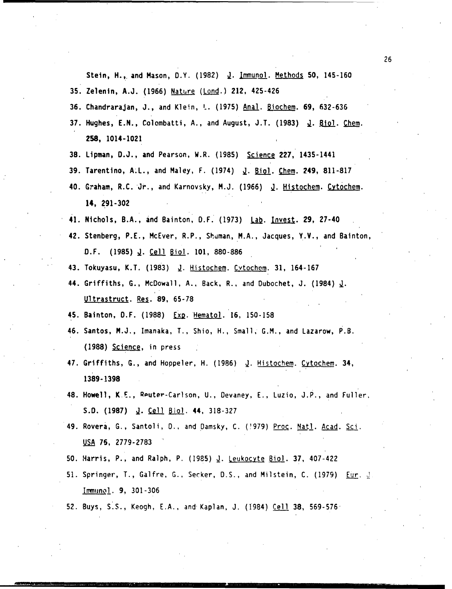Stein, H., and Mason, D.Y. (1982) *J. Immunol. Methods* 50, 145-160

- 35. Zelenin, A.J. (1966) Nature (Lond.) 212, 425-426
- 36. Chandrarajan, J., and Klein, L. (1975) Anal. Biochem. 69, 632-636
- 37. Hughes, E.N., Colombatti, A., and August, J.T. (1983) *J. Biol. Chem.* 258, 1014-1021
- 38. Lipman, D.J., and Pearson, W.R. (1985) Science 227, 1435-1441
- 39. Tarentino, A.L., and Maley, F. (1974)  $J.$  Biol. Chem. 249, 811-817
- 40. Graham, R.C. Jr., and Karnovsky, M.J. (1966) J. Histochem. Cytochem. 14, 291-302
- 41. Nichols, B.A., and Bainton, D.F. (1973) Lab. Invest. 29, 27-40
- 42. Stenberg, P.E., McEver, R.P., Shuman., M.A., Jacques, Y.V., and Bainton, D.F. (1985) <u>J. Cell Biol</u>. 101, 880-886
- 43. Tokuyasu, K.T. (1983) *J. Histochem. Cytochem.* 31, 164-167
- 44. Griffiths, G., McDowall, A., Back, R., and Dubochet, J. (1984) <u>J</u>. Ultrastruct. Res. 89, 65-78
- 45. Bainton, D.F. (1988) [xp. Hematol. 16, 150-158
- 46. Santos, M.J., Imanaka, T., Shio, H., Small, G.M., and Lazarow, **P.B.** (1988) Science, in press
- 47. Griffiths, G., and Hoppeler, H. (1986) J. Histochem. Cytochem. 34, 1389-1398
- 48. Howell, K.E., Pouter-Carlson, U., Devaney, E., Luzio, J.P., and Fuller, S.D. (1987) J. Cell Biol. 44, 318-327
- 49. Rovera, G., Santoli, **D.,** and Damsky, C. (1979) Proc. Natl. Acad. Sci. USA 76, 2779-2783
- 50. Harris, P., and Ralph, P. **(1985)** J. Leukocyte Biol. 37, 407-422
- 51. Springer, T., Galfre, G., Secker, D.S., and Milstein, C. (1979) Eur. J Imrun **n1.** 9, 301-306
- 52. Buys, S.S., Keogh, E.A., and Kaplan, J. (1984) Cell 38, 569-576